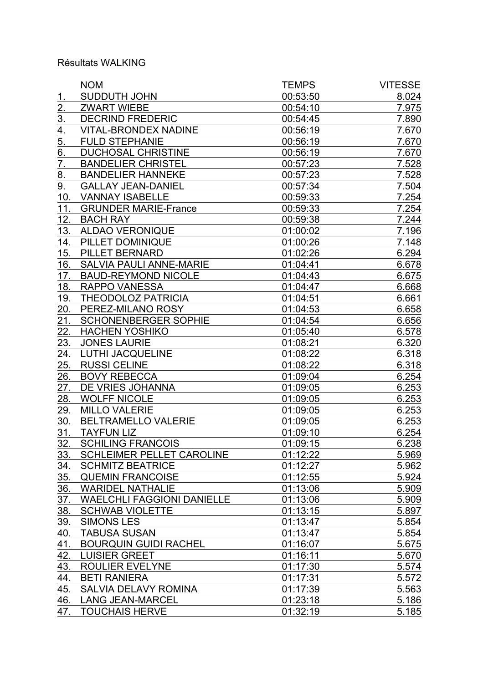## Résultats WALKING

|                   | <b>NOM</b>                        | <b>TEMPS</b> | <b>VITESSE</b> |
|-------------------|-----------------------------------|--------------|----------------|
| <u>1.</u>         | SUDDUTH JOHN                      | 00:53:50     | 8.024          |
| 2.                | <b>ZWART WIEBE</b>                | 00:54:10     | 7.975          |
| $\overline{3}$ .  | <b>DECRIND FREDERIC</b>           | 00:54:45     | 7.890          |
| 4.                | <b>VITAL-BRONDEX NADINE</b>       | 00:56:19     | 7.670          |
| 5.                | <b>FULD STEPHANIE</b>             | 00:56:19     | 7.670          |
| 6.                | <b>DUCHOSAL CHRISTINE</b>         | 00:56:19     | 7.670          |
| $\overline{7}$ .  | <b>BANDELIER CHRISTEL</b>         | 00:57:23     | 7.528          |
| 8.                | <b>BANDELIER HANNEKE</b>          | 00:57:23     | 7.528          |
| 9.                | <b>GALLAY JEAN-DANIEL</b>         | 00:57:34     | 7.504          |
| 10.               | <b>VANNAY ISABELLE</b>            | 00:59:33     | 7.254          |
| 11.               | <b>GRUNDER MARIE-France</b>       | 00:59:33     | 7.254          |
| 12.               | <b>BACH RAY</b>                   | 00:59:38     | 7.244          |
| 13.               | <b>ALDAO VERONIQUE</b>            | 01:00:02     | 7.196          |
| 14.               | PILLET DOMINIQUE                  | 01:00:26     | 7.148          |
| 15.               | PILLET BERNARD                    | 01:02:26     | 6.294          |
| 16.               | <b>SALVIA PAULI ANNE-MARIE</b>    | 01:04:41     | 6.678          |
| 17.               | <b>BAUD-REYMOND NICOLE</b>        | 01:04:43     | 6.675          |
| 18.               | <b>RAPPO VANESSA</b>              | 01:04:47     | 6.668          |
| 19.               | <b>THEODOLOZ PATRICIA</b>         | 01:04:51     | 6.661          |
| 20.               | PEREZ-MILANO ROSY                 | 01:04:53     | 6.658          |
| 21.               | <b>SCHONENBERGER SOPHIE</b>       | 01:04:54     | 6.656          |
| $\overline{22}$ . | <b>HACHEN YOSHIKO</b>             | 01:05:40     | 6.578          |
| 23.               | <b>JONES LAURIE</b>               | 01:08:21     | 6.320          |
| 24.               | <b>LUTHI JACQUELINE</b>           | 01:08:22     | 6.318          |
| 25.               | <b>RUSSI CELINE</b>               | 01:08:22     | 6.318          |
| 26.               | <b>BOVY REBECCA</b>               | 01:09:04     | 6.254          |
| 27.               | DE VRIES JOHANNA                  | 01:09:05     | 6.253          |
| 28.               | <b>WOLFF NICOLE</b>               | 01:09:05     | 6.253          |
| 29.               | <b>MILLO VALERIE</b>              | 01:09:05     | 6.253          |
| 30.               | <b>BELTRAMELLO VALERIE</b>        | 01:09:05     | 6.253          |
| 31.               | <b>TAYFUN LIZ</b>                 | 01:09:10     | 6.254          |
| 32.               | <b>SCHILING FRANCOIS</b>          | 01:09:15     | 6.238          |
| 33.               | <b>SCHLEIMER PELLET CAROLINE</b>  | 01:12:22     | 5.969          |
| 34.               | <b>SCHMITZ BEATRICE</b>           | 01:12:27     | 5.962          |
| 35.               | <b>QUEMIN FRANCOISE</b>           | 01:12:55     | 5.924          |
| 36.               | <b>WARIDEL NATHALIE</b>           | 01:13:06     | 5.909          |
| 37.               | <b>WAELCHLI FAGGIONI DANIELLE</b> | 01:13:06     | 5.909          |
| <u>38.</u>        | <b>SCHWAB VIOLETTE</b>            | 01:13:15     | 5.897          |
| <u>39.</u>        | <b>SIMONS LES</b>                 | 01:13:47     | 5.854          |
| 40.               | <b>TABUSA SUSAN</b>               | 01:13:47     | 5.854          |
| 41.               | <b>BOURQUIN GUIDI RACHEL</b>      | 01:16:07     | 5.675          |
| 42.               | <b>LUISIER GREET</b>              | 01:16:11     | 5.670          |
| 43.               | <b>ROULIER EVELYNE</b>            | 01:17:30     | 5.574          |
| 44.               | <b>BETI RANIERA</b>               | 01:17:31     | 5.572          |
| <u>45.</u>        | SALVIA DELAVY ROMINA              | 01:17:39     | 5.563          |
| 46.               | <b>LANG JEAN-MARCEL</b>           | 01:23:18     | 5.186          |
| 47.               | <b>TOUCHAIS HERVE</b>             | 01:32:19     | 5.185          |
|                   |                                   |              |                |